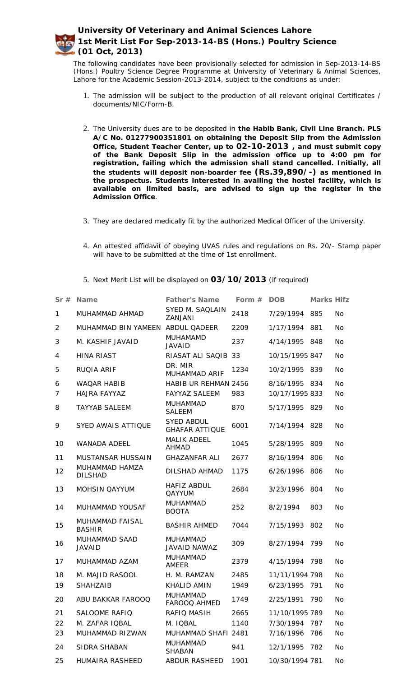The following candidates have been provisionally selected for admission in Sep-2013-14-BS (Hons.) Poultry Science Degree Programme at University of Veterinary & Animal Sciences, Lahore for the Academic Session-2013-2014, subject to the conditions as under:

- 1. The admission will be subject to the production of all relevant original Certificates / documents/NIC/Form-B.
- 2. The University dues are to be deposited in **the Habib Bank, Civil Line Branch. PLS A/C No. 01277900351801 on obtaining the Deposit Slip from the Admission Office, Student Teacher Center, up to 02-10-2013 , and must submit copy of the Bank Deposit Slip in the admission office up to 4:00 pm for registration, failing which the admission shall stand cancelled. Initially, all the students will deposit non-boarder fee (Rs.39,890/-) as mentioned in the prospectus. Students interested in availing the hostel facility, which is available on limited basis, are advised to sign up the register in the Admission Office**.
- 3. They are declared medically fit by the authorized Medical Officer of the University.
- 4. An attested affidavit of obeying UVAS rules and regulations on Rs. 20/- Stamp paper will have to be submitted at the time of 1st enrollment.
- 5. Next Merit List will be displayed on **03/10/2013** (if required)

| Sr#          | Name                                  | Father's Name                              | Form $#$ | <b>DOB</b>     | Marks Hifz |           |
|--------------|---------------------------------------|--------------------------------------------|----------|----------------|------------|-----------|
| $\mathbf{1}$ | MUHAMMAD AHMAD                        | SYED M. SAQLAIN<br>ZANJANI                 | 2418     | 7/29/1994      | 885        | <b>No</b> |
| 2            | MUHAMMAD BIN YAMEEN                   | <b>ABDUL QADEER</b>                        | 2209     | 1/17/1994 881  |            | <b>No</b> |
| 3            | M. KASHIF JAVAID                      | <b>MUHAMAMD</b><br><b>JAVAID</b>           | 237      | 4/14/1995 848  |            | <b>No</b> |
| 4            | <b>HINA RIAST</b>                     | RIASAT ALI SAQIB 33                        |          | 10/15/1995 847 |            | <b>No</b> |
| 5            | <b>RUQIA ARIF</b>                     | DR. MIR<br>MUHAMMAD ARIF                   | 1234     | 10/2/1995 839  |            | <b>No</b> |
| 6            | <b>WAQAR HABIB</b>                    | <b>HABIB UR REHMAN 2456</b>                |          | 8/16/1995 834  |            | <b>No</b> |
| 7            | <b>HAJRA FAYYAZ</b>                   | <b>FAYYAZ SALEEM</b>                       | 983      | 10/17/1995 833 |            | <b>No</b> |
| 8            | <b>TAYYAB SALEEM</b>                  | <b>MUHAMMAD</b><br><b>SALEEM</b>           | 870      | 5/17/1995 829  |            | <b>No</b> |
| 9            | SYED AWAIS ATTIQUE                    | <b>SYED ABDUL</b><br><b>GHAFAR ATTIQUE</b> | 6001     | 7/14/1994 828  |            | <b>No</b> |
| 10           | WANADA ADEEL                          | <b>MALIK ADEEL</b><br><b>AHMAD</b>         | 1045     | 5/28/1995      | -809       | <b>No</b> |
| 11           | MUSTANSAR HUSSAIN                     | <b>GHAZANFAR ALI</b>                       | 2677     | 8/16/1994      | 806        | <b>No</b> |
| 12           | MUHAMMAD HAMZA<br><b>DILSHAD</b>      | <b>DILSHAD AHMAD</b>                       | 1175     | 6/26/1996 806  |            | <b>No</b> |
| 13           | <b>MOHSIN QAYYUM</b>                  | <b>HAFIZ ABDUL</b><br>QAYYUM               | 2684     | 3/23/1996      | 804        | <b>No</b> |
| 14           | MUHAMMAD YOUSAF                       | <b>MUHAMMAD</b><br><b>BOOTA</b>            | 252      | 8/2/1994       | 803        | <b>No</b> |
| 15           | MUHAMMAD FAISAL<br><b>BASHIR</b>      | <b>BASHIR AHMED</b>                        | 7044     | 7/15/1993 802  |            | <b>No</b> |
| 16           | <b>MUHAMMAD SAAD</b><br><b>JAVAID</b> | <b>MUHAMMAD</b><br><b>JAVAID NAWAZ</b>     | 309      | 8/27/1994 799  |            | <b>No</b> |
| 17           | MUHAMMAD AZAM                         | <b>MUHAMMAD</b><br>AMEER                   | 2379     | 4/15/1994 798  |            | <b>No</b> |
| 18           | M. MAJID RASOOL                       | H. M. RAMZAN                               | 2485     | 11/11/1994 798 |            | <b>No</b> |
| 19           | <b>SHAHZAIB</b>                       | KHALID AMIN                                | 1949     | 6/23/1995 791  |            | No        |
| 20           | ABU BAKKAR FAROOQ                     | <b>MUHAMMAD</b><br>FAROOQ AHMED            | 1749     | 2/25/1991 790  |            | <b>No</b> |
| 21           | SALOOME RAFIQ                         | RAFIQ MASIH                                | 2665     | 11/10/1995 789 |            | <b>No</b> |
| 22           | M. ZAFAR IQBAL                        | M. IQBAL                                   | 1140     | 7/30/1994 787  |            | No        |
| 23           | MUHAMMAD RIZWAN                       | MUHAMMAD SHAFI 2481                        |          | 7/16/1996      | 786        | <b>No</b> |
| 24           | SIDRA SHABAN                          | <b>MUHAMMAD</b><br>SHABAN                  | 941      | 12/1/1995      | 782        | No        |
| 25           | HUMAIRA RASHEED                       | ABDUR RASHEED 1901                         |          | 10/30/1994 781 |            | No        |